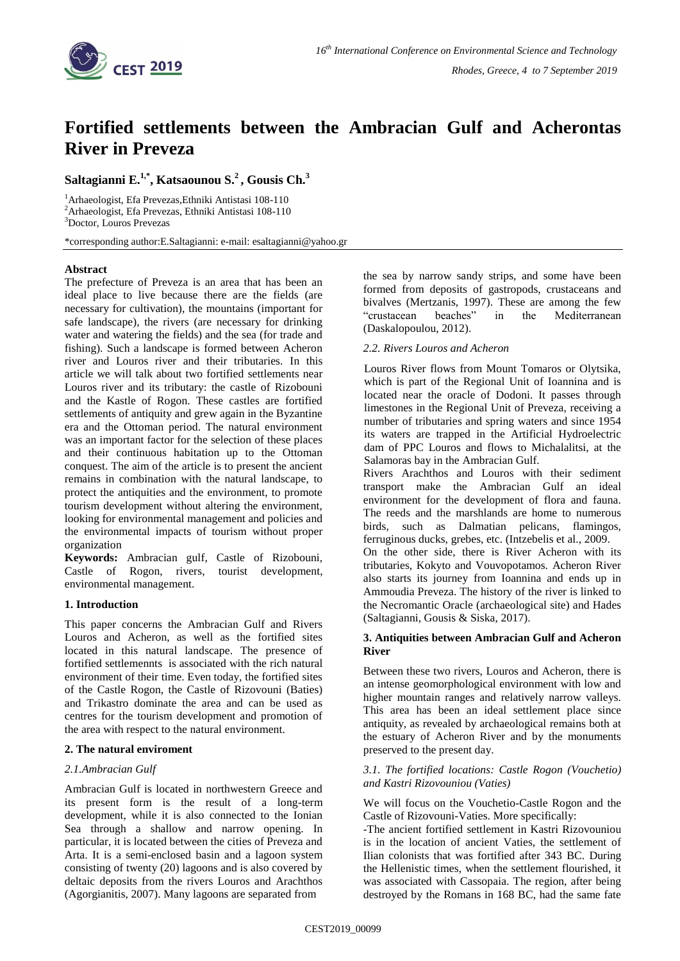

# **Fortified settlements between the Ambracian Gulf and Acherontas River in Preveza**

# **Saltagianni E.1,\* , Katsaounou S.<sup>2</sup>, Gousis Ch.<sup>3</sup>**

<sup>1</sup>Arhaeologist, Efa Prevezas,Ethniki Antistasi 108-110 <sup>2</sup>Arhaeologist, Efa Prevezas, Ethniki Antistasi 108-110 <sup>3</sup>Doctor, Louros Prevezas

\*corresponding author:E.Saltagianni: e-mail: esaltagianni@yahoo.gr

# **Abstract**

The prefecture of Preveza is an area that has been an ideal place to live because there are the fields (are necessary for cultivation), the mountains (important for safe landscape), the rivers (are necessary for drinking water and watering the fields) and the sea (for trade and fishing). Such a landscape is formed between Acheron river and Louros river and their tributaries. Ιn this article we will talk about two fortified settlements near Louros river and its tributary: the castle of Rizobouni and the Kastle of Rogon. These castles are fortified settlements of antiquity and grew again in the Byzantine era and the Ottoman period. The natural environment was an important factor for the selection of these places and their continuous habitation up to the Ottoman conquest. The aim of the article is to present the ancient remains in combination with the natural landscape, to protect the antiquities and the environment, to promote tourism development without altering the environment, looking for environmental management and policies and the environmental impacts of tourism without proper organization

**Keywords:** Ambracian gulf, Castle of Rizobouni, Castle of Rogon, rivers, tourist development, environmental management.

# **1. Introduction**

This paper concerns the Ambracian Gulf and Rivers Louros and Acheron, as well as the fortified sites located in this natural landscape. The presence of fortified settlemennts is associated with the rich natural environment of their time. Even today, the fortified sites of the Castle Rogon, the Castle of Rizovouni (Baties) and Trikastro dominate the area and can be used as centres for the tourism development and promotion of the area with respect to the natural environment.

# **2. The natural enviroment**

# *2.1.Ambracian Gulf*

Ambracian Gulf is located in northwestern Greece and its present form is the result of a long-term development, while it is also connected to the Ionian Sea through a shallow and narrow opening. In particular, it is located between the cities of Preveza and Arta. It is a semi-enclosed basin and a lagoon system consisting of twenty (20) lagoons and is also covered by deltaic deposits from the rivers Louros and Arachthos (Agorgianitis, 2007). Many lagoons are separated from

the sea by narrow sandy strips, and some have been formed from deposits of gastropods, crustaceans and bivalves (Mertzanis, 1997). These are among the few "crustacean beaches" in the Mediterranean (Daskalopoulou, 2012).

#### *2.2. Rivers Louros and Acheron*

Louros River flows from Mount Tomaros or Olytsika, which is part of the Regional Unit of Ioannina and is located near the oracle of Dodoni. It passes through limestones in the Regional Unit of Preveza, receiving a number of tributaries and spring waters and since 1954 its waters are trapped in the Artificial Hydroelectric dam of PPC Louros and flows to Michalalitsi, at the Salamoras bay in the Ambracian Gulf.

Rivers Arachthos and Louros with their sediment transport make the Ambracian Gulf an ideal environment for the development of flora and fauna. The reeds and the marshlands are home to numerous birds, such as Dalmatian pelicans, flamingos, ferruginous ducks, grebes, etc. (Intzebelis et al., 2009.

On the other side, there is River Acheron with its tributaries, Kokyto and Vouvopotamos. Acheron River also starts its journey from Ioannina and ends up in Ammoudia Preveza. The history of the river is linked to the Necromantic Oracle (archaeological site) and Hades (Saltagianni, Gousis & Siska, 2017).

# **3. Antiquities between Ambracian Gulf and Acheron River**

Between these two rivers, Louros and Acheron, there is an intense geomorphological environment with low and higher mountain ranges and relatively narrow valleys. This area has been an ideal settlement place since antiquity, as revealed by archaeological remains both at the estuary of Acheron River and by the monuments preserved to the present day.

#### *3.1. The fortified locations: Castle Rogon (Vouchetio) and Kastri Rizovouniou (Vaties)*

We will focus on the Vouchetio-Castle Rogon and the Castle of Rizovouni-Vaties. More specifically:

-The ancient fortified settlement in Kastri Rizovouniou is in the location of ancient Vaties, the settlement of Ilian colonists that was fortified after 343 BC. During the Hellenistic times, when the settlement flourished, it was associated with Cassopaia. The region, after being destroyed by the Romans in 168 BC, had the same fate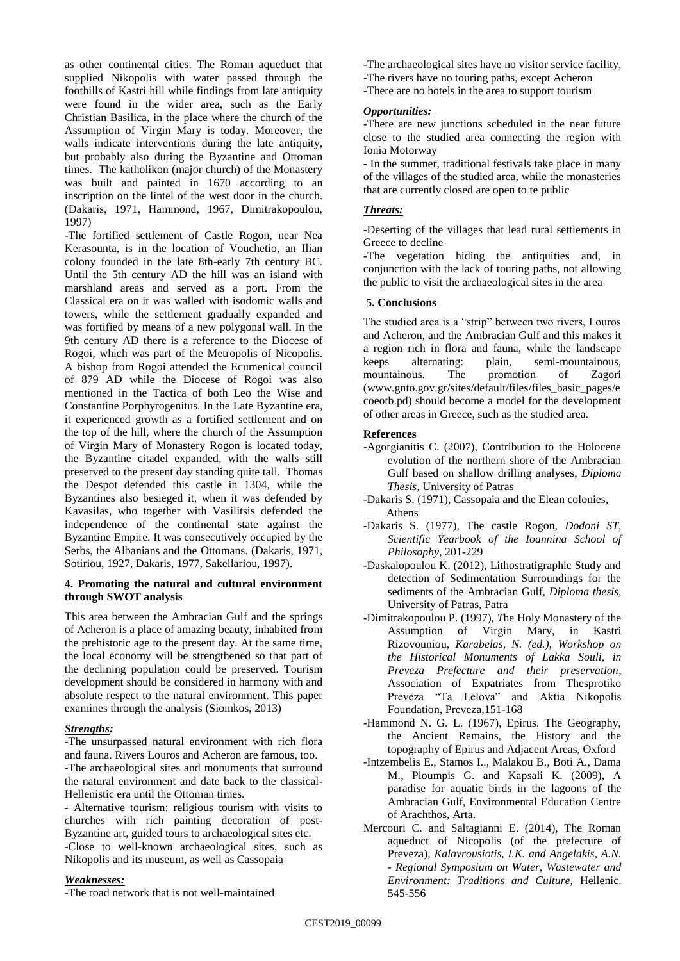as other continental cities. The Roman aqueduct that supplied Nikopolis with water passed through the foothills of Kastri hill while findings from late antiquity were found in the wider area, such as the Early Christian Basilica, in the place where the church of the Assumption of Virgin Mary is today. Moreover, the walls indicate interventions during the late antiquity, but probably also during the Byzantine and Ottoman times. The katholikon (major church) of the Monastery was built and painted in 1670 according to an inscription on the lintel of the west door in the church. (Dakaris, 1971, Hammond, 1967, Dimitrakopoulou, 1997)

-The fortified settlement of Castle Rogon, near Nea Kerasounta, is in the location of Vouchetio, an Ilian colony founded in the late 8th-early 7th century BC. Until the 5th century AD the hill was an island with marshland areas and served as a port. From the Classical era on it was walled with isodomic walls and towers, while the settlement gradually expanded and was fortified by means of a new polygonal wall. In the 9th century AD there is a reference to the Diocese of Rogoi, which was part of the Metropolis of Nicopolis. A bishop from Rogoi attended the Ecumenical council of 879 AD while the Diocese of Rogoi was also mentioned in the Tactica of both Leo the Wise and Constantine Porphyrogenitus. In the Late Byzantine era, it experienced growth as a fortified settlement and on the top of the hill, where the church of the Assumption of Virgin Mary of Monastery Rogon is located today, the Byzantine citadel expanded, with the walls still preserved to the present day standing quite tall. Thomas the Despot defended this castle in 1304, while the Byzantines also besieged it, when it was defended by Kavasilas, who together with Vasilitsis defended the independence of the continental state against the Byzantine Empire. It was consecutively occupied by the Serbs, the Albanians and the Ottomans. (Dakaris, 1971, Sotiriou, 1927, Dakaris, 1977, Sakellariou, 1997).

# **4. Promoting the natural and cultural environment through SWOT analysis**

This area between the Ambracian Gulf and the springs of Acheron is a place of amazing beauty, inhabited from the prehistoric age to the present day. At the same time, the local economy will be strengthened so that part of the declining population could be preserved. Tourism development should be considered in harmony with and absolute respect to the natural environment. This paper examines through the analysis (Siomkos, 2013)

# *Strengths:*

-The unsurpassed natural environment with rich flora and fauna. Rivers Louros and Acheron are famous, too. -The archaeological sites and monuments that surround the natural environment and date back to the classical-Hellenistic era until the Ottoman times.

- Alternative tourism: religious tourism with visits to churches with rich painting decoration of post-Byzantine art, guided tours to archaeological sites etc. -Close to well-known archaeological sites, such as Nikopolis and its museum, as well as Cassopaia

# *Weaknesses:*

-The road network that is not well-maintained

- -The archaeological sites have no visitor service facility,
- -The rivers have no touring paths, except Acheron
- -There are no hotels in the area to support tourism

#### *Opportunities:*

-There are new junctions scheduled in the near future close to the studied area connecting the region with Ionia Motorway

- In the summer, traditional festivals take place in many of the villages of the studied area, while the monasteries that are currently closed are open to te public

# *Threats:*

-Deserting of the villages that lead rural settlements in Greece to decline

-The vegetation hiding the antiquities and, in conjunction with the lack of touring paths, not allowing the public to visit the archaeological sites in the area

# **5. Conclusions**

The studied area is a "strip" between two rivers, Louros and Acheron, and the Ambracian Gulf and this makes it a region rich in flora and fauna, while the landscape keeps alternating: plain, semi-mountainous, mountainous. The promotion of Zagori [\(www.gnto.gov.gr/sites/default/files/files\\_basic\\_pages/e](../Downloads/www.gnto.gov.gr/sites/default/files/files_basic_pages/ecoeotb.pd) [coeotb.pd\)](../Downloads/www.gnto.gov.gr/sites/default/files/files_basic_pages/ecoeotb.pd) should become a model for the development of other areas in Greece, such as the studied area.

# **References**

- -Agorgianitis C. (2007), Contribution to the Holocene evolution of the northern shore of the Ambracian Gulf based on shallow drilling analyses*, Diploma Thesis,* University of Patras
- -Dakaris S. (1971), Cassopaia and the Elean colonies, Athens
- -Dakaris S. (1977), The castle Rogon, *Dodoni ST, Scientific Yearbook of the Ioannina School of Philosophy*, 201-229
- -Daskalopoulou K. (2012), Lithostratigraphic Study and detection of Sedimentation Surroundings for the sediments of the Ambracian Gulf, *Diploma thesis,* University of Patras, Patra
- -Dimitrakopoulou P. (1997), *T*he Holy Monastery of the Assumption of Virgin Mary, in Kastri Rizovouniou, *Karabelas, N. (ed.), Workshop on the Historical Monuments of Lakka Souli, in Preveza Prefecture and their preservation*, Association of Expatriates from Thesprotiko Preveza "Ta Lelova" and Aktia Nikopolis Foundation, Preveza,151-168
- -Hammond N. G. L. (1967), Epirus. The Geography, the Ancient Remains, the History and the topography of Epirus and Adjacent Areas, Oxford
- -Intzembelis E., Stamos I.., Malakou B., Boti A., Dama M., Ploumpis G. and Kapsali K. (2009), A paradise for aquatic birds in the lagoons of the Ambracian Gulf, Environmental Education Centre of Arachthos, Arta.
- Mercouri C. and Saltagianni E. (2014), The Roman aqueduct of Nicopolis (of the prefecture of Preveza), *Kalavrousiotis, I.K. and Angelakis, A.N. - Regional Symposium on Water, Wastewater and Environment: Traditions and Culture,* Hellenic. 545-556